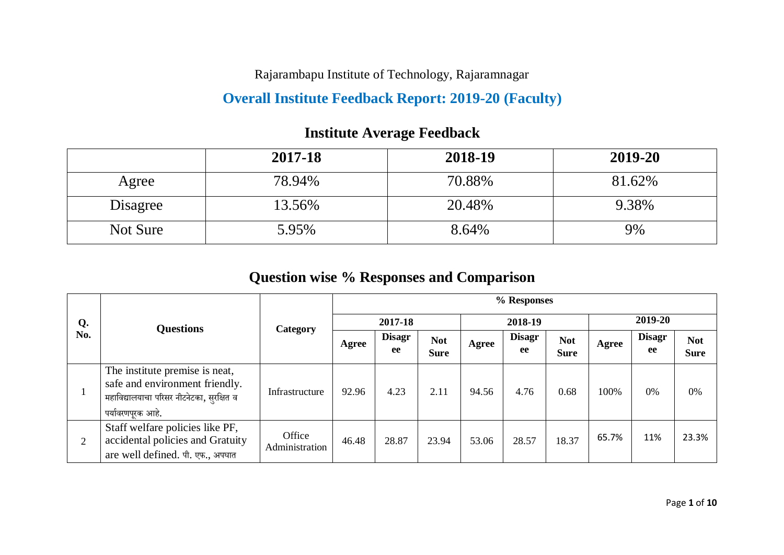Rajarambapu Institute of Technology, Rajaramnagar

#### **Overall Institute Feedback Report: 2019-20 (Faculty)**

## **Institute Average Feedback**

|          | 2017-18 | 2018-19 | 2019-20 |
|----------|---------|---------|---------|
| Agree    | 78.94%  | 70.88%  | 81.62%  |
| Disagree | 13.56%  | 20.48%  | 9.38%   |
| Not Sure | 5.95%   | 8.64%   | 9%      |

## **Question wise % Responses and Comparison**

|     |                                                                                                                                    |                          | % Responses |                     |                           |       |                     |                           |         |                     |                           |  |  |  |
|-----|------------------------------------------------------------------------------------------------------------------------------------|--------------------------|-------------|---------------------|---------------------------|-------|---------------------|---------------------------|---------|---------------------|---------------------------|--|--|--|
| Q.  | <b>Questions</b>                                                                                                                   | Category                 |             | 2017-18             |                           |       | 2018-19             |                           | 2019-20 |                     |                           |  |  |  |
| No. |                                                                                                                                    |                          | Agree       | <b>Disagr</b><br>ee | <b>Not</b><br><b>Sure</b> | Agree | <b>Disagr</b><br>ee | <b>Not</b><br><b>Sure</b> | Agree   | <b>Disagr</b><br>ee | <b>Not</b><br><b>Sure</b> |  |  |  |
|     | The institute premise is neat,<br>safe and environment friendly.<br>महाविद्यालयाचा परिसर नीटनेटका, सुरक्षित व<br>पर्यावरणपुरक आहे. | Infrastructure           | 92.96       | 4.23                | 2.11                      | 94.56 | 4.76                | 0.68                      | 100%    | 0%                  | 0%                        |  |  |  |
|     | Staff welfare policies like PF,<br>accidental policies and Gratuity<br>are well defined. पी. एफ., अपघात                            | Office<br>Administration | 46.48       | 28.87               | 23.94                     | 53.06 | 28.57               | 18.37                     | 65.7%   | 11%                 | 23.3%                     |  |  |  |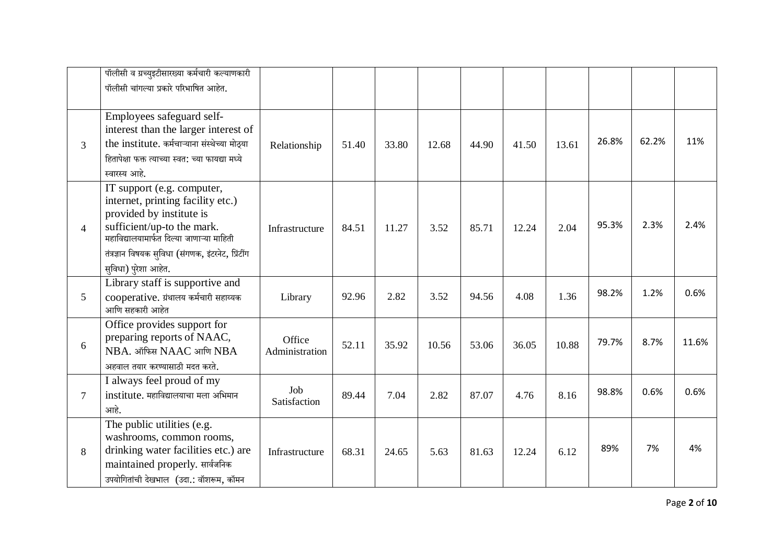|                 | पॉलीसी व ग्रच्युइटीसारख्या कर्मचारी कल्याणकारी<br>पॉलीसी चांगल्या प्रकारे परिभाषित आहेत.                                                                                                                                                             |                          |       |       |       |       |       |       |       |       |       |
|-----------------|------------------------------------------------------------------------------------------------------------------------------------------------------------------------------------------------------------------------------------------------------|--------------------------|-------|-------|-------|-------|-------|-------|-------|-------|-------|
| 3               | Employees safeguard self-<br>interest than the larger interest of<br>the institute. कर्मचाऱ्याना संस्थेच्या मोठ्या<br>हितापेक्षा फक्त त्याच्या स्वत: च्या फायद्या मध्ये<br>स्वारस्य आहे.                                                             | Relationship             | 51.40 | 33.80 | 12.68 | 44.90 | 41.50 | 13.61 | 26.8% | 62.2% | 11%   |
| $\overline{4}$  | IT support (e.g. computer,<br>internet, printing facility etc.)<br>provided by institute is<br>sufficient/up-to the mark.<br>महाविद्यालयामार्फत दिल्या जाणाऱ्या माहिती<br>तंत्रज्ञान विषयक सुविधा (संगणक, इंटरनेट, प्रिंटींग<br>सुविधा) पुरेशा आहेत. | Infrastructure           | 84.51 | 11.27 | 3.52  | 85.71 | 12.24 | 2.04  | 95.3% | 2.3%  | 2.4%  |
| $5\overline{)}$ | Library staff is supportive and<br>cooperative. ग्रंथालय कर्मचारी सहाय्यक<br>आणि सहकारी आहेत                                                                                                                                                         | Library                  | 92.96 | 2.82  | 3.52  | 94.56 | 4.08  | 1.36  | 98.2% | 1.2%  | 0.6%  |
| 6               | Office provides support for<br>preparing reports of NAAC,<br>NBA. ऑफिस NAAC आणि NBA<br>अहवाल तयार करण्यासाठी मदत करते.                                                                                                                               | Office<br>Administration | 52.11 | 35.92 | 10.56 | 53.06 | 36.05 | 10.88 | 79.7% | 8.7%  | 11.6% |
| 7               | I always feel proud of my<br>institute. महाविद्यालयाचा मला अभिमान<br>आहे.                                                                                                                                                                            | Job<br>Satisfaction      | 89.44 | 7.04  | 2.82  | 87.07 | 4.76  | 8.16  | 98.8% | 0.6%  | 0.6%  |
| 8               | The public utilities (e.g.<br>washrooms, common rooms,<br>drinking water facilities etc.) are<br>maintained properly. सार्वजनिक<br>उपयोगितांची देखभाल (उदा.: वॉशरूम, कॉमन                                                                            | Infrastructure           | 68.31 | 24.65 | 5.63  | 81.63 | 12.24 | 6.12  | 89%   | 7%    | 4%    |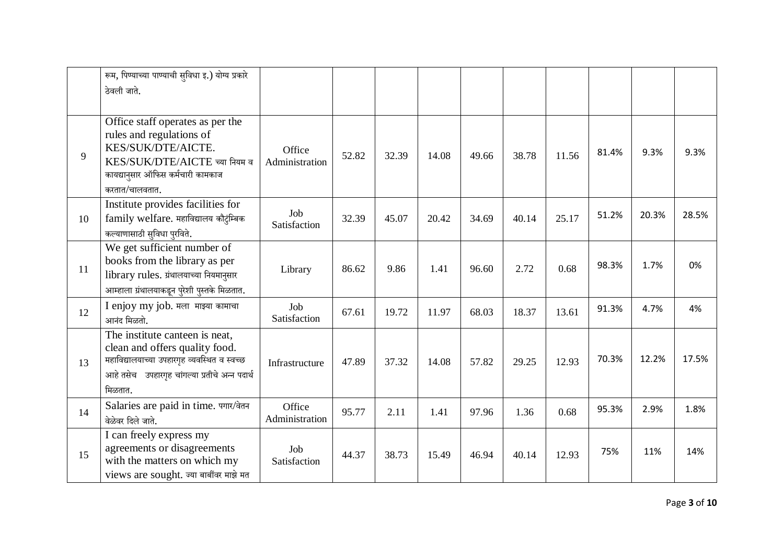|    | रूम, पिण्याच्या पाण्याची सुविधा इ.) योग्य प्रकारे<br>ठेवली जाते.                                                                                                              |                          |       |       |       |       |       |       |       |       |       |
|----|-------------------------------------------------------------------------------------------------------------------------------------------------------------------------------|--------------------------|-------|-------|-------|-------|-------|-------|-------|-------|-------|
| 9  | Office staff operates as per the<br>rules and regulations of<br>KES/SUK/DTE/AICTE.<br>KES/SUK/DTE/AICTE च्या नियम व<br>कायद्यानुसार ऑफिस कर्मचारी कामकाज<br>करतात/चालवतात.    | Office<br>Administration | 52.82 | 32.39 | 14.08 | 49.66 | 38.78 | 11.56 | 81.4% | 9.3%  | 9.3%  |
| 10 | Institute provides facilities for<br>family welfare. महाविद्यालय कौट्रंम्बिक<br>कल्याणासाठी सुविधा पुरविते.                                                                   | Job<br>Satisfaction      | 32.39 | 45.07 | 20.42 | 34.69 | 40.14 | 25.17 | 51.2% | 20.3% | 28.5% |
| 11 | We get sufficient number of<br>books from the library as per<br>library rules. ग्रंथालयाच्या नियमानुसार<br>आम्हाला ग्रंथालयाकडून पुरेशी पुस्तके मिळतात.                       | Library                  | 86.62 | 9.86  | 1.41  | 96.60 | 2.72  | 0.68  | 98.3% | 1.7%  | 0%    |
| 12 | I enjoy my job. मला माझ्या कामाचा<br>आनंद मिळतो.                                                                                                                              | Job<br>Satisfaction      | 67.61 | 19.72 | 11.97 | 68.03 | 18.37 | 13.61 | 91.3% | 4.7%  | 4%    |
| 13 | The institute canteen is neat,<br>clean and offers quality food.<br>महाविद्यालयाच्या उपहारगृह व्यवस्थित व स्वच्छ<br>आहे तसेच उपहारगृह चांगल्या प्रतीचे अन्न पदार्थ<br>मिळतात. | Infrastructure           | 47.89 | 37.32 | 14.08 | 57.82 | 29.25 | 12.93 | 70.3% | 12.2% | 17.5% |
| 14 | Salaries are paid in time. पगार/वेतन<br>वेळेवर दिले जाते.                                                                                                                     | Office<br>Administration | 95.77 | 2.11  | 1.41  | 97.96 | 1.36  | 0.68  | 95.3% | 2.9%  | 1.8%  |
| 15 | I can freely express my<br>agreements or disagreements<br>with the matters on which my<br>views are sought. ज्या बाबींवर माझे मत                                              | Job<br>Satisfaction      | 44.37 | 38.73 | 15.49 | 46.94 | 40.14 | 12.93 | 75%   | 11%   | 14%   |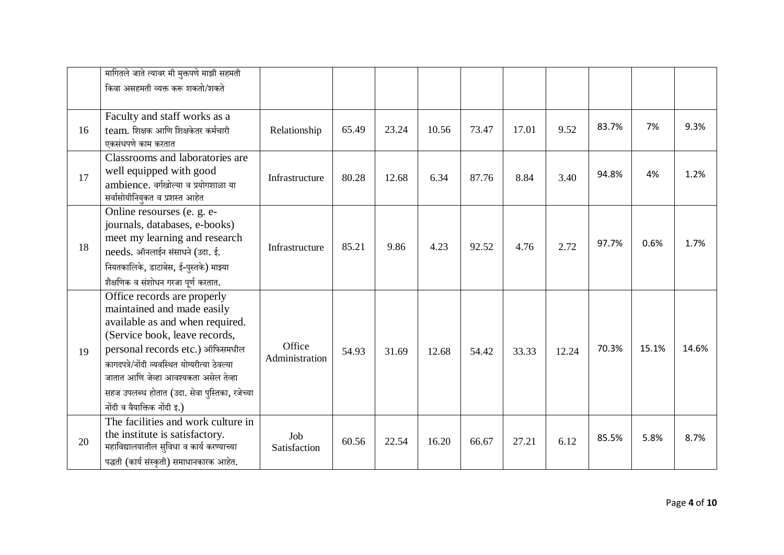|    | मागितले जाते त्यावर मी मुक्तपणे माझी सहमती                                                                                                                                                                                                                                                                                                 |                          |       |       |       |       |       |       |       |       |       |
|----|--------------------------------------------------------------------------------------------------------------------------------------------------------------------------------------------------------------------------------------------------------------------------------------------------------------------------------------------|--------------------------|-------|-------|-------|-------|-------|-------|-------|-------|-------|
|    | किंवा असहमती व्यक्त करू शकतो/शकते                                                                                                                                                                                                                                                                                                          |                          |       |       |       |       |       |       |       |       |       |
| 16 | Faculty and staff works as a<br>team. शिक्षक आणि शिक्षकेतर कर्मचारी<br>एकसंधपणे काम करतात                                                                                                                                                                                                                                                  | Relationship             | 65.49 | 23.24 | 10.56 | 73.47 | 17.01 | 9.52  | 83.7% | 7%    | 9.3%  |
| 17 | Classrooms and laboratories are<br>well equipped with good<br>ambience. वर्गखोल्या व प्रयोगशाळा या<br>सर्वासोयीनियुकत व प्रशस्त आहेत                                                                                                                                                                                                       | Infrastructure           | 80.28 | 12.68 | 6.34  | 87.76 | 8.84  | 3.40  | 94.8% | 4%    | 1.2%  |
| 18 | Online resourses (e. g. e-<br>journals, databases, e-books)<br>meet my learning and research<br>needs. ऑनलाईन संसाधने (उदा. ई.<br>नियतकालिके, डाटाबेस, ई-पुस्तके) माझ्या<br>शैक्षणिक व संशोधन गरजा पूर्ण करतात.                                                                                                                            | Infrastructure           | 85.21 | 9.86  | 4.23  | 92.52 | 4.76  | 2.72  | 97.7% | 0.6%  | 1.7%  |
| 19 | Office records are properly<br>maintained and made easily<br>available as and when required.<br>(Service book, leave records,<br>personal records etc.) ऑफिसमधील<br>कागदपत्रे/नोंदी व्यवस्थित योग्यरीत्या ठेवल्या<br>जातात आणि जेव्हा आवश्यकता असेल तेव्हा<br>सहज उपलब्ध होतात (उदा. सेवा पुस्तिका, रजेच्या<br>नोंदी व वैयाक्तिक नोंदी इ.) | Office<br>Administration | 54.93 | 31.69 | 12.68 | 54.42 | 33.33 | 12.24 | 70.3% | 15.1% | 14.6% |
| 20 | The facilities and work culture in<br>the institute is satisfactory.<br>महाविद्यालयातील सुविधा व कार्य करण्याच्या<br>पद्धती (कार्य संस्कृती) समाधानकारक आहेत.                                                                                                                                                                              | Job<br>Satisfaction      | 60.56 | 22.54 | 16.20 | 66.67 | 27.21 | 6.12  | 85.5% | 5.8%  | 8.7%  |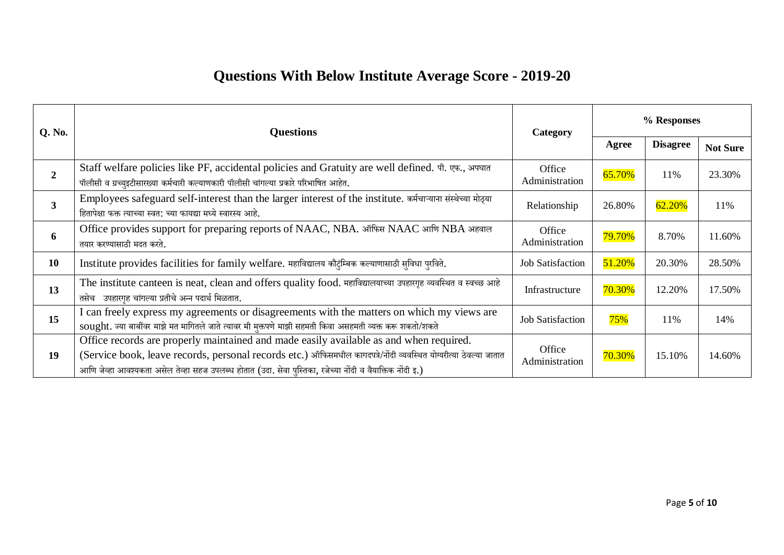# **Questions With Below Institute Average Score - 2019-20**

| <b>Q.</b> No.  | <b>Questions</b>                                                                                                                                                                                                                                                                                                         | Category                 | % Responses |                 |                 |  |
|----------------|--------------------------------------------------------------------------------------------------------------------------------------------------------------------------------------------------------------------------------------------------------------------------------------------------------------------------|--------------------------|-------------|-----------------|-----------------|--|
|                |                                                                                                                                                                                                                                                                                                                          |                          | Agree       | <b>Disagree</b> | <b>Not Sure</b> |  |
| $\overline{2}$ | Staff welfare policies like PF, accidental policies and Gratuity are well defined. पी. एफ., अपघात<br>पॉलीसी व ग्रच्युइटीसारख्या कर्मचारी कल्याणकारी पॉलीसी चांगल्या प्रकारे परिभाषित आहेत.                                                                                                                               | Office<br>Administration | 65.70%      | 11%             | 23.30%          |  |
| 3              | Employees safeguard self-interest than the larger interest of the institute. कर्मचाऱ्याना संस्थेच्या मोठ्या<br>हितापेक्षा फक्त त्याच्या स्वत: च्या फायद्या मध्ये स्वारस्य आहे.                                                                                                                                           | Relationship             | 26.80%      | 62.20%          | 11%             |  |
| 6              | Office provides support for preparing reports of NAAC, NBA. ऑफिस NAAC आणि NBA अहवाल<br>तयार करण्यासाठी मदत करते.                                                                                                                                                                                                         | Office<br>Administration | 79.70%      | 8.70%           | 11.60%          |  |
| <b>10</b>      | Institute provides facilities for family welfare. महाविद्यालय कौटुंम्बिक कल्याणासाठी सुविधा पुरविते.                                                                                                                                                                                                                     | <b>Job Satisfaction</b>  | 51.20%      | 20.30%          | 28.50%          |  |
| 13             | The institute canteen is neat, clean and offers quality food. महाविद्यालयाच्या उपहारगृह व्यवस्थित व स्वच्छ आहे<br>तसेच उपहारगृह चांगल्या प्रतीचे अन्न पदार्थ मिळतात.                                                                                                                                                     | Infrastructure           | 70.30%      | 12.20%          | 17.50%          |  |
| 15             | I can freely express my agreements or disagreements with the matters on which my views are<br>sought. ज्या बार्बीवर माझे मत मागितले जाते त्यावर मी मुक्तपणे माझी सहमती किवा असहमती व्यक्त करू शकतो/शकते                                                                                                                  | <b>Job Satisfaction</b>  | 75%         | 11%             | 14%             |  |
| 19             | Office records are properly maintained and made easily available as and when required.<br>(Service book, leave records, personal records etc.) ऑफिसमधील कागदपत्रे/नोंदी व्यवस्थित योग्यरीत्या ठेवल्या जातात<br>आणि जेव्हा आवश्यकता असेल तेव्हा सहज उपलब्ध होतात (उदा. सेवा पुस्तिका, रजेच्या नोंदी व वैयाक्तिक नोंदी इ.) | Office<br>Administration | 70.30%      | 15.10%          | 14.60%          |  |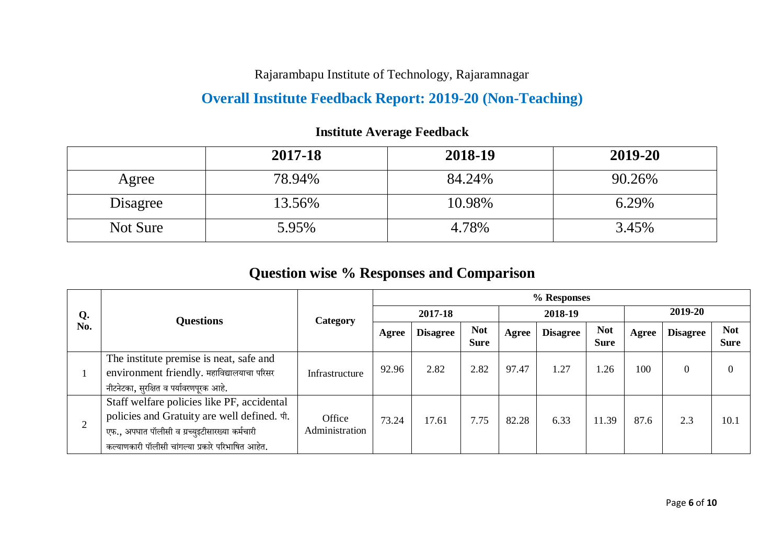Rajarambapu Institute of Technology, Rajaramnagar

## **Overall Institute Feedback Report: 2019-20 (Non-Teaching)**

|          | 2017-18 | 2018-19 | 2019-20 |
|----------|---------|---------|---------|
| Agree    | 78.94%  | 84.24%  | 90.26%  |
| Disagree | 13.56%  | 10.98%  | 6.29%   |
| Not Sure | 5.95%   | 4.78%   | 3.45%   |

#### **Institute Average Feedback**

## **Question wise % Responses and Comparison**

|     |                                                                                                                                                                                                  |                          | % Responses |                 |                           |       |                 |                           |         |                 |                           |  |  |
|-----|--------------------------------------------------------------------------------------------------------------------------------------------------------------------------------------------------|--------------------------|-------------|-----------------|---------------------------|-------|-----------------|---------------------------|---------|-----------------|---------------------------|--|--|
| Q.  | <b>Questions</b>                                                                                                                                                                                 | Category                 |             | 2017-18         |                           |       | 2018-19         |                           | 2019-20 |                 |                           |  |  |
| No. |                                                                                                                                                                                                  |                          | Agree       | <b>Disagree</b> | <b>Not</b><br><b>Sure</b> | Agree | <b>Disagree</b> | <b>Not</b><br><b>Sure</b> | Agree   | <b>Disagree</b> | <b>Not</b><br><b>Sure</b> |  |  |
|     | The institute premise is neat, safe and<br>environment friendly. महाविद्यालयाचा परिसर<br>नीटनेटका, सुरक्षित व पर्यावरणपूरक आहे.                                                                  | Infrastructure           | 92.96       | 2.82            | 2.82                      | 97.47 | 1.27            | 1.26                      | 100     | 0               | $\Omega$                  |  |  |
| 2   | Staff welfare policies like PF, accidental<br>policies and Gratuity are well defined. पी.<br>एफ., अपघात पॉलीसी व ग्रच्युइटीसारख्या कर्मचारी<br>कल्याणकारी पॉलीसी चांगल्या प्रकारे परिभाषित आहेत. | Office<br>Administration | 73.24       | 17.61           | 7.75                      | 82.28 | 6.33            | 11.39                     | 87.6    | 2.3             | 10.1                      |  |  |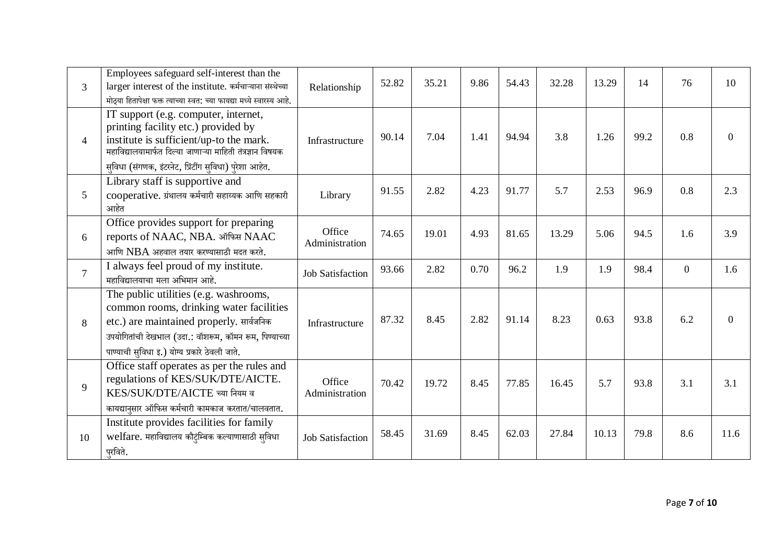| $\overline{3}$ | Employees safeguard self-interest than the<br>larger interest of the institute. कर्मचाऱ्याना संस्थेच्या<br>मोठया हितापेक्षा फक्त त्याच्या स्वत: च्या फायद्या मध्ये स्वारस्य आहे.                                                               | Relationship             | 52.82 | 35.21 | 9.86 | 54.43 | 32.28 | 13.29 | 14   | 76             | 10       |
|----------------|------------------------------------------------------------------------------------------------------------------------------------------------------------------------------------------------------------------------------------------------|--------------------------|-------|-------|------|-------|-------|-------|------|----------------|----------|
| $\overline{4}$ | IT support (e.g. computer, internet,<br>printing facility etc.) provided by<br>institute is sufficient/up-to the mark.<br>महाविद्यालयामार्फत दिल्या जाणाऱ्या माहिती तंत्रज्ञान विषयक<br>सुविधा (संगणक, इंटरनेट, प्रिंटींग सुविधा) पुरेशा आहेत. | Infrastructure           | 90.14 | 7.04  | 1.41 | 94.94 | 3.8   | 1.26  | 99.2 | 0.8            | $\Omega$ |
| 5              | Library staff is supportive and<br>cooperative. ग्रंथालय कर्मचारी सहाय्यक आणि सहकारी<br>आहेत                                                                                                                                                   | Library                  | 91.55 | 2.82  | 4.23 | 91.77 | 5.7   | 2.53  | 96.9 | 0.8            | 2.3      |
| 6              | Office provides support for preparing<br>reports of NAAC, NBA. ऑफिस NAAC<br>आणि $NBA$ अहवाल तयार करण्यासाठी मदत करते.                                                                                                                          | Office<br>Administration | 74.65 | 19.01 | 4.93 | 81.65 | 13.29 | 5.06  | 94.5 | 1.6            | 3.9      |
| $\tau$         | I always feel proud of my institute.<br>महाविद्यालयाचा मला अभिमान आहे.                                                                                                                                                                         | <b>Job Satisfaction</b>  | 93.66 | 2.82  | 0.70 | 96.2  | 1.9   | 1.9   | 98.4 | $\overline{0}$ | 1.6      |
| 8              | The public utilities (e.g. washrooms,<br>common rooms, drinking water facilities<br>etc.) are maintained properly. सार्वजनिक<br>उपयोगितांची देखभाल (उदा.: वॉशरूम, कॉमन रूम, पिण्याच्या<br>पाण्याची सुविधा इ.) योग्य प्रकारे ठेवली जाते.        | Infrastructure           | 87.32 | 8.45  | 2.82 | 91.14 | 8.23  | 0.63  | 93.8 | 6.2            | $\Omega$ |
| 9              | Office staff operates as per the rules and<br>regulations of KES/SUK/DTE/AICTE.<br>KES/SUK/DTE/AICTE च्या नियम व<br>कायद्यानुसार ऑफिस कर्मचारी कामकाज करतात/चालवतात.                                                                           | Office<br>Administration | 70.42 | 19.72 | 8.45 | 77.85 | 16.45 | 5.7   | 93.8 | 3.1            | 3.1      |
| 10             | Institute provides facilities for family<br>welfare. महाविद्यालय कौटुंम्बिक कल्याणासाठी सुविधा<br>परविते.                                                                                                                                      | <b>Job Satisfaction</b>  | 58.45 | 31.69 | 8.45 | 62.03 | 27.84 | 10.13 | 79.8 | 8.6            | 11.6     |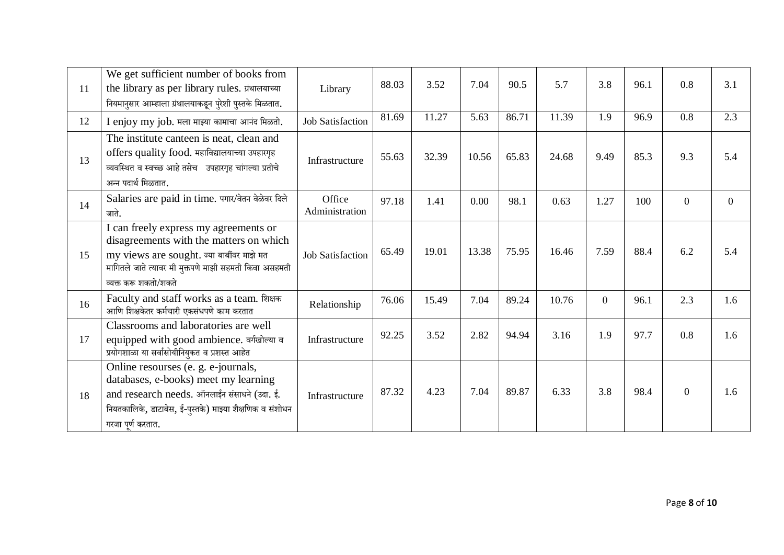| 11 | We get sufficient number of books from<br>the library as per library rules. ग्रंथालयाच्या<br>नियमानुसार आम्हाला ग्रंथालयाकडून पुरेशी पुस्तके मिळतात.                                                             | Library                  | 88.03 | 3.52  | 7.04  | 90.5  | 5.7   | 3.8            | 96.1 | 0.8            | 3.1            |
|----|------------------------------------------------------------------------------------------------------------------------------------------------------------------------------------------------------------------|--------------------------|-------|-------|-------|-------|-------|----------------|------|----------------|----------------|
| 12 | I enjoy my job. मला माझ्या कामाचा आनंद मिळतो.                                                                                                                                                                    | <b>Job Satisfaction</b>  | 81.69 | 11.27 | 5.63  | 86.71 | 11.39 | 1.9            | 96.9 | 0.8            | 2.3            |
| 13 | The institute canteen is neat, clean and<br>offers quality food. महाविद्यालयाच्या उपहारगृह<br>व्यवस्थित व स्वच्छ आहे तसेच उपहारगृह चांगल्या प्रतीचे<br>अन्न पदार्थ मिळतात.                                       | Infrastructure           | 55.63 | 32.39 | 10.56 | 65.83 | 24.68 | 9.49           | 85.3 | 9.3            | 5.4            |
| 14 | Salaries are paid in time. पगार/वेतन वेळेवर दिले<br>जाते.                                                                                                                                                        | Office<br>Administration | 97.18 | 1.41  | 0.00  | 98.1  | 0.63  | 1.27           | 100  | $\overline{0}$ | $\overline{0}$ |
| 15 | I can freely express my agreements or<br>disagreements with the matters on which<br>my views are sought. ज्या बाबींवर माझे मत<br>मागितले जाते त्यावर मी मुक्तपणे माझी सहमती किंवा असहमती<br>व्यक्त करू शकतो/शकते | <b>Job Satisfaction</b>  | 65.49 | 19.01 | 13.38 | 75.95 | 16.46 | 7.59           | 88.4 | 6.2            | 5.4            |
| 16 | Faculty and staff works as a team. शिक्षक<br>आणि शिक्षकेतर कर्मचारी एकसंधपणे काम करतात                                                                                                                           | Relationship             | 76.06 | 15.49 | 7.04  | 89.24 | 10.76 | $\overline{0}$ | 96.1 | 2.3            | 1.6            |
| 17 | Classrooms and laboratories are well<br>equipped with good ambience. बर्गखोल्या ब<br>प्रयोगशाळा या सर्वासोयीनियुकत व प्रशस्त आहेत                                                                                | Infrastructure           | 92.25 | 3.52  | 2.82  | 94.94 | 3.16  | 1.9            | 97.7 | 0.8            | 1.6            |
| 18 | Online resourses (e. g. e-journals,<br>databases, e-books) meet my learning<br>and research needs. ऑनलाईन संसाधने (उदा. ई.<br>नियतकालिके, डाटाबेस, ई-पुस्तके) माझ्या शैक्षणिक व संशोधन<br>गरजा पूर्ण करतात.      | Infrastructure           | 87.32 | 4.23  | 7.04  | 89.87 | 6.33  | 3.8            | 98.4 | $\overline{0}$ | 1.6            |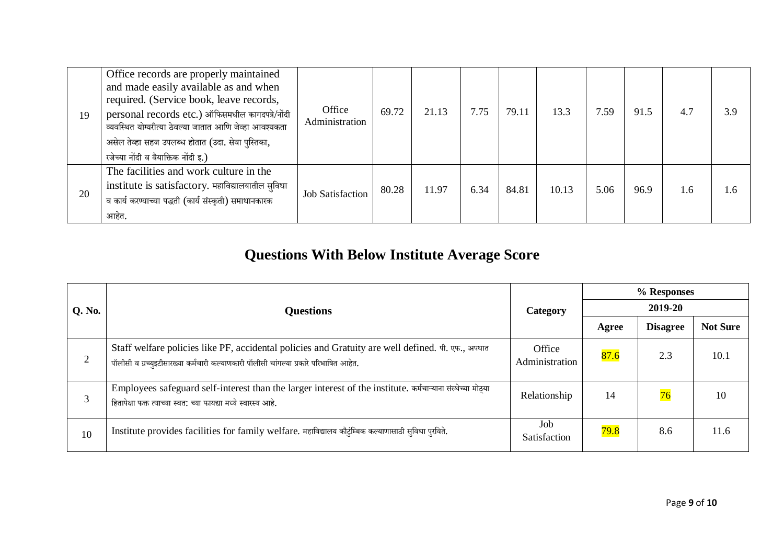| 19 | Office records are properly maintained<br>and made easily available as and when<br>required. (Service book, leave records,<br>personal records etc.) ऑफिसमधील कागदपत्रे/नोंदी<br>व्यवस्थित योग्यरीत्या ठेवल्या जातात आणि जेव्हा आवश्यकता<br>असेल तेव्हा सहज उपलब्ध होतात (उदा. सेवा पुस्तिका,<br>रजेच्या नोंदी व वैयाक्तिक नोंदी इ.) | Office<br>Administration | 69.72 | 21.13 | 7.75 | 79.11 | 13.3  | 7.59 | 91.5 | 4.7 | 3.9 |
|----|--------------------------------------------------------------------------------------------------------------------------------------------------------------------------------------------------------------------------------------------------------------------------------------------------------------------------------------|--------------------------|-------|-------|------|-------|-------|------|------|-----|-----|
| 20 | The facilities and work culture in the<br>institute is satisfactory. महाविद्यालयातील सुविधा<br>व कार्य करण्याच्या पद्धती (कार्य संस्कृती) समाधानकारक<br>आहेत.                                                                                                                                                                        | <b>Job Satisfaction</b>  | 80.28 | 11.97 | 6.34 | 84.81 | 10.13 | 5.06 | 96.9 | 1.6 | - 6 |

# **Questions With Below Institute Average Score**

|        |                                                                                                                                                                                            |                          | % Responses |                 |                 |  |  |
|--------|--------------------------------------------------------------------------------------------------------------------------------------------------------------------------------------------|--------------------------|-------------|-----------------|-----------------|--|--|
| Q. No. | <b>Questions</b>                                                                                                                                                                           | Category                 |             | 2019-20         |                 |  |  |
|        |                                                                                                                                                                                            |                          | Agree       | <b>Disagree</b> | <b>Not Sure</b> |  |  |
| 2      | Staff welfare policies like PF, accidental policies and Gratuity are well defined. पी. एफ., अपघात<br>पॉलीसी व ग्रच्युइटीसारख्या कर्मचारी कल्याणकारी पॉलीसी चांगल्या प्रकारे परिभाषित आहेत. | Office<br>Administration | 87.6        | 2.3             | 10.1            |  |  |
| 3      | Employees safeguard self-interest than the larger interest of the institute. कर्मचाऱ्याना संस्थेच्या मोठ्या<br>हितापेक्षा फक्त त्याच्या स्वत: च्या फायद्या मध्ये स्वारस्य आहे.             | Relationship             | 14          | 76              | 10              |  |  |
| 10     | Institute provides facilities for family welfare. महाविद्यालय कौटुंम्बिक कल्याणासाठी सुविधा पुरविते.                                                                                       | Job<br>Satisfaction      | 79.8        | 8.6             | 11.6            |  |  |